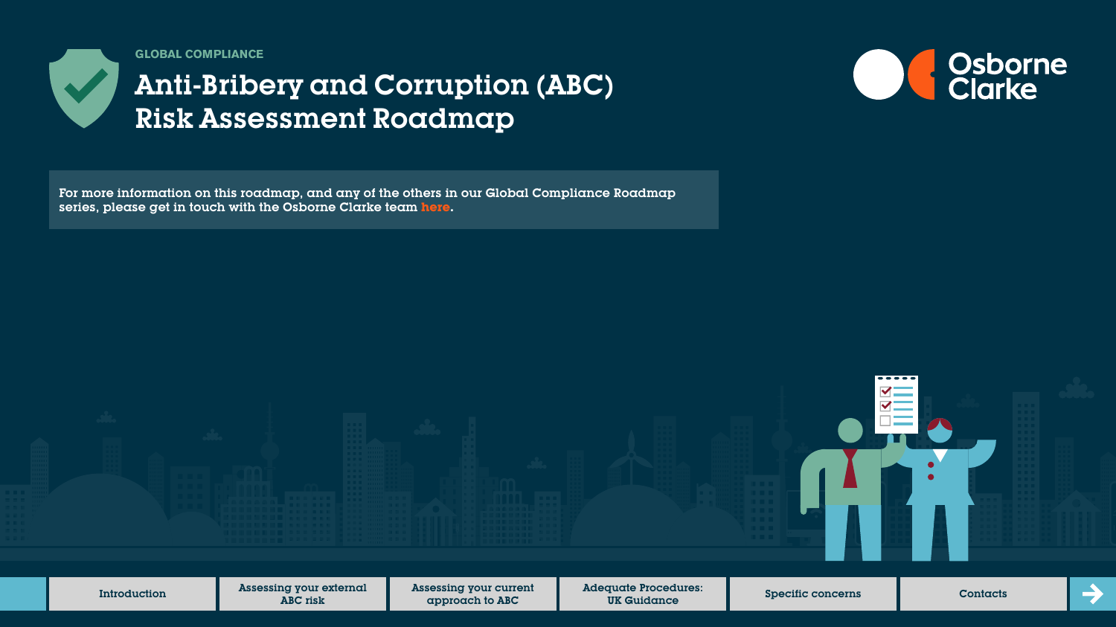

**GLOBAL COMPLIANCE**

# Anti-Bribery and Corruption (ABC) Risk Assessment Roadmap

For more information on this roadmap, and any of the others in our Global Compliance Roadmap series, please get in touch with the Osborne Clarke team **[here.](https://sites-osborneclarke.vuturevx.com/82/6426/pages/global-compliance-roadmaps.asp)**



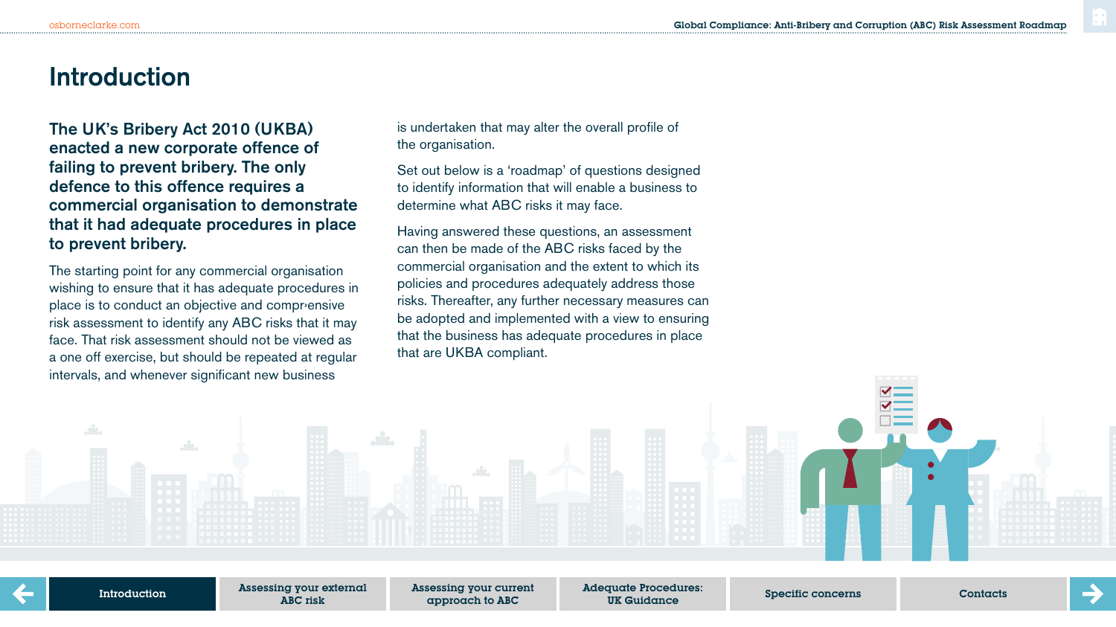## **Introduction**

The UK's Bribery Act 2010 (UKBA) enacted a new corporate offence of failing to prevent bribery. The only defence to this offence requires a commercial organisation to demonstrate that it had adequate procedures in place to prevent bribery.

The starting point for any commercial organisation wishing to ensure that it has adequate procedures in place is to conduct an objective and comprensive risk assessment to identify any ABC risks that it may face. That risk assessment should not be viewed as a one off exercise, but should be repeated at regular intervals, and whenever significant new business

is undertaken that may alter the overall profile of the organisation.

Set out below is a 'roadmap' of questions designed to identify information that will enable a business to determine what ABC risks it may face.

Having answered these questions, an assessment can then be made of the ABC risks faced by the commercial organisation and the extent to which its policies and procedures adequately address those risks. Thereafter, any further necessary measures can be adopted and implemented with a view to ensuring that the business has adequate procedures in place that are UKBA compliant.

Introduction

Assessing your external ABC risk

Assessing your current approach to ABC

Adequate Procedures: quale riccedules.<br>UK Guidance Specific concerns Contacts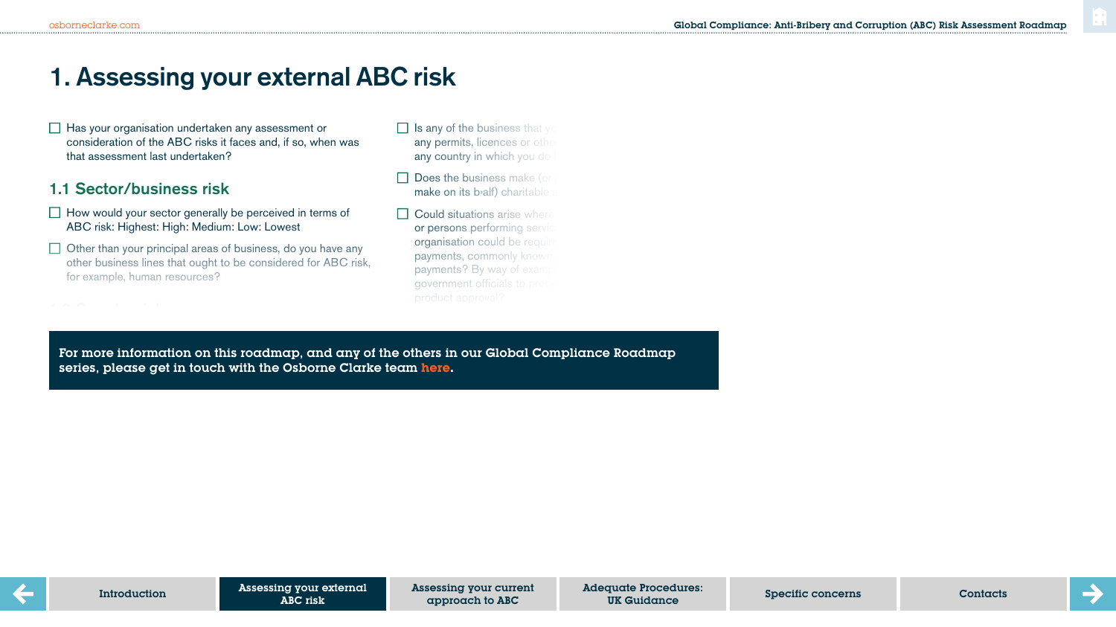# **1. Assessing your external ABC risk**

 $\Box$  Has your organisation undertaken any assessment or consideration of the ABC risks it faces and, if so, when was that assessment last undertaken?

## 1.1 Sector/business risk

- $\Box$  How would your sector generally be perceived in terms of ABC risk: Highest: High: Medium: Low: Lowest
- $\Box$  Other than your principal areas of business, do you have any other business lines that ought to be considered for ABC risk, for example, human resources?

 $W_{\rm eff}$  countries do you have an operational base in and what in and what in and what in and what in and what is

- $\Box$  Is any of the business that you any permits, licences or other any country in which you do
- $\Box$  Does the business make (or  $make$  on its b<sub>alf</sub>) charitable
- $\Box$  Could situations arise where or persons performing service organisation could be required payments, commonly known payments? By way of examp government officials to proce

do you undertake due diligence on the charities before

For more information on this roadmap, and any of the others in our Global Compliance Roadmap subsidiaries or joint ventures?) series, please get in touch with the Osborne Clarke team **[here.](https://sites-osborneclarke.vuturevx.com/82/6426/pages/global-compliance-roadmaps.asp)**

approach to ABC

Adequate Procedures: quale riccedules.<br>UK Guidance Specific concerns Contacts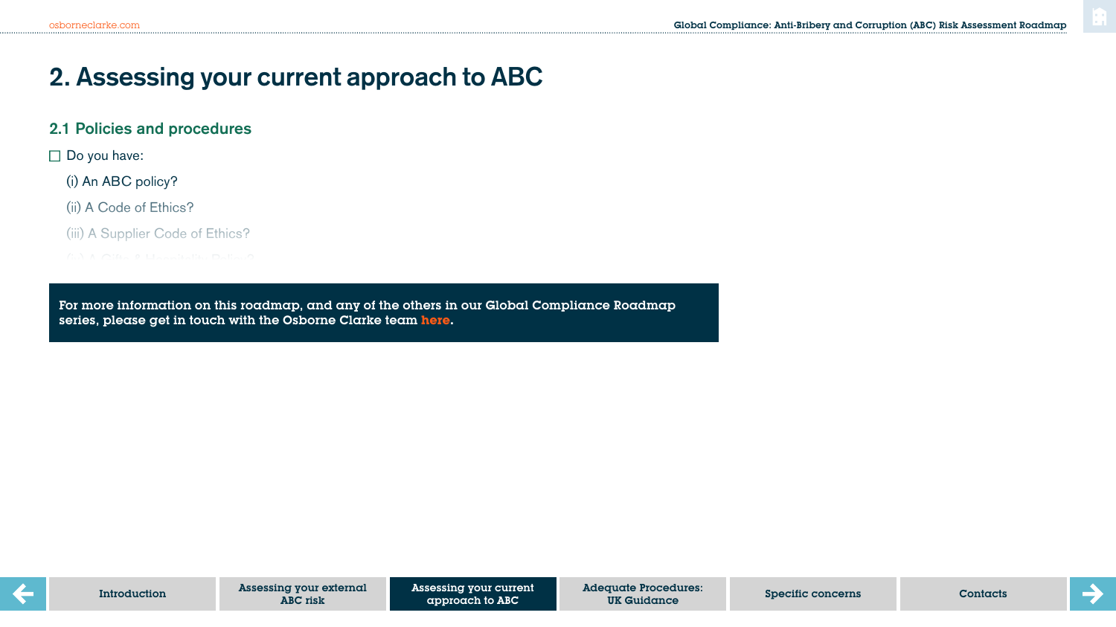## **2. Assessing your current approach to ABC**

### 2.1 Policies and procedures

 $\square$  Do you have:

(i) An ABC policy?

(ii) A Code of Ethics?

(iii) A Supplier Code of Ethics?

 $\mathcal{O}(\mathcal{O}_\mathcal{P})$  and  $\mathcal{O}(\mathcal{O}_\mathcal{P})$  and  $\mathcal{O}(\mathcal{O}_\mathcal{P})$ 

For more information on this roadmap, and any of the others in our Global Compliance Roadmap<br>ceries whereo ast in teuch with the Osherne Clarke town here series, please get in touch with the Osborne Clarke team <mark>[here.](https://sites-osborneclarke.vuturevx.com/82/6426/pages/global-compliance-roadmaps.asp)</mark><br>.

reference to ABC or ethical contraventions in the disciplinary policy)?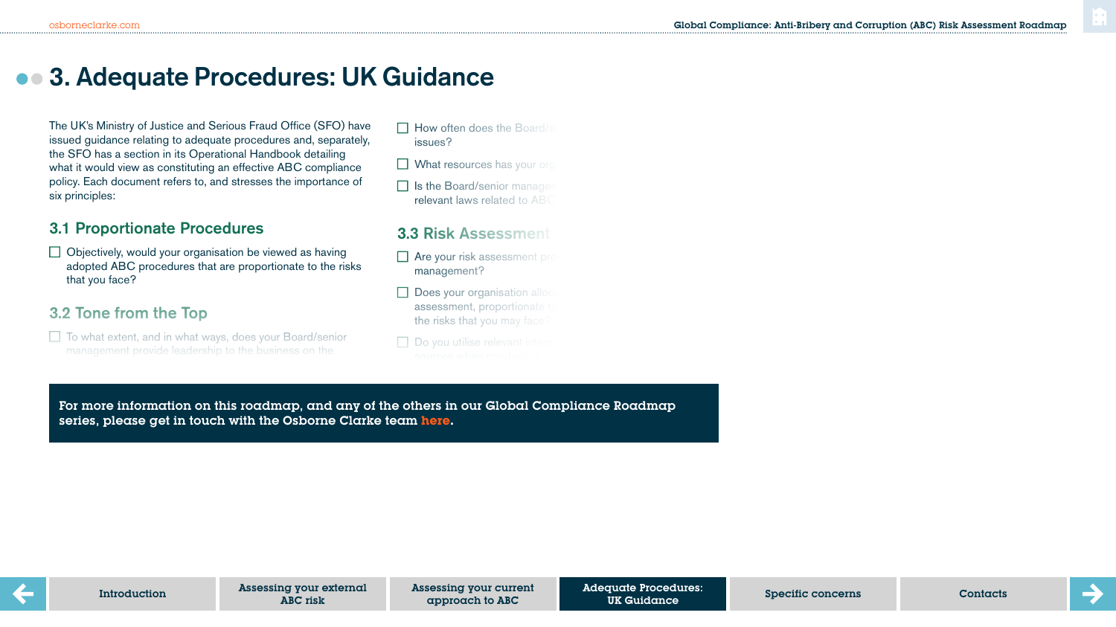## **3. Adequate Procedures: UK Guidance**

The UK's Ministry of Justice and Serious Fraud Office (SFO) have issued guidance relating to adequate procedures and, separately, the SFO has a section in its Operational Handbook detailing what it would view as constituting an effective ABC compliance policy. Each document refers to, and stresses the importance of six principles:

### 3.1 Proportionate Procedures

 $\Box$  Objectively, would your organisation be viewed as having adopted ABC procedures that are proportionate to the risks that you face?

## 3.2 Tone from the Top

statement on corporate values?

 $\Box$  To what extent, and in what ways, does your Board/senior management provide leadership to the business on the

assessments and policies, consideration and direction on

 $\Box$  How often does the Board/s issues?

 $\Box$  What resources has your org

 $\Box$  Is the Board/senior management relevant laws related to ABC

## 3.3 Risk Assessment

 $\Box$  Are your risk assessment pro management?

- $\Box$  Does your organisation alloc assessment, proportionate the risks that you may face?
- $\Box$  Do you utilise relevant intern

procedures and policies?

Are your risk assessment exercises, and the conclusions

For more information on this roadmap, and any of the others in our Global Compliance Roadmap<br>series, please act in tough with the Otherne Clarke team hose. series, please get in touch with the Osborne Clarke team <mark>[here.](https://sites-osborneclarke.vuturevx.com/82/6426/pages/global-compliance-roadmaps.asp)</mark><br>. relevant employee input, used to improve your ABC

Adequate Procedures: UK Guidance approach to ABC Contacts **Specific Concerns** Contacts Contacts Contacts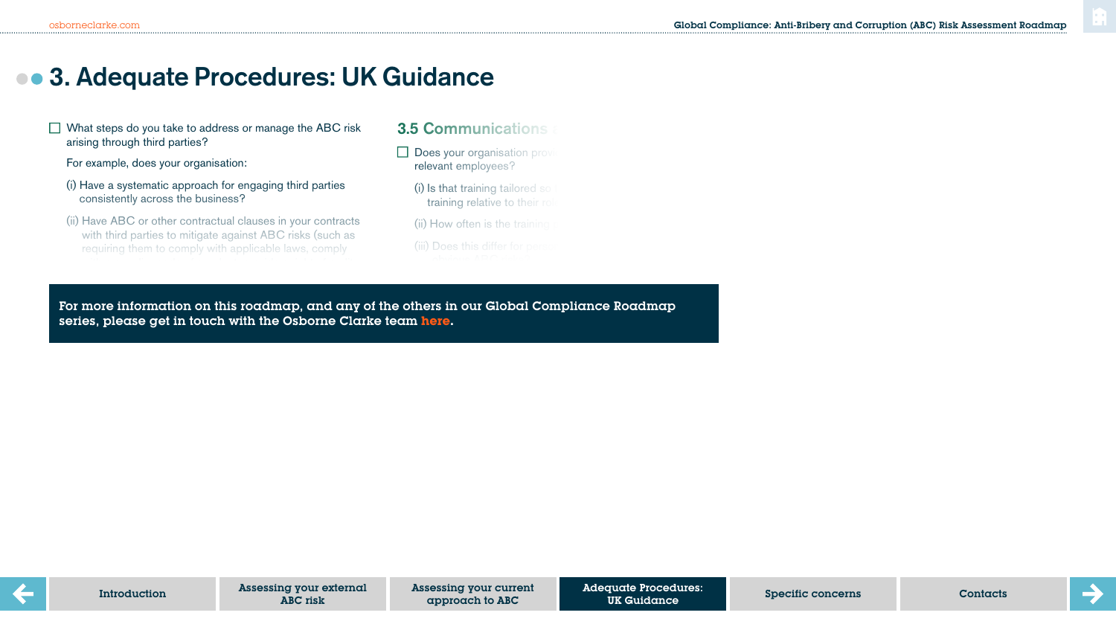## **3. Adequate Procedures: UK Guidance**

 $\Box$  What steps do you take to address or manage the ABC risk arising through third parties?

For example, does your organisation:

- (i) Have a systematic approach for engaging third parties consistently across the business?
- (ii) Have ABC or other contractual clauses in your contracts with third parties to mitigate against ABC risks (such as requiring them to comply with applicable laws, comply

### **3.5 Communications**

- $\Box$  Does your organisation provi relevant employees?
	- $(i)$  is that training tailored so training relative to their rol
	- $(i)$  How often is the training
	- (iii) Does this differ for perso

(iv) Is the training evaluated and or is a pass mark required to  $\mathcal{L}$ 

(vi) If  $\alpha$  is training took place, when the training took place, when the training took place, when the training took place, when the training took place, when the training took place, when the training took place, when

er party information on thir roadness and such af the otherwin our Cl series, please get in touch with the Osborne Clarke team <mark>[here.](https://sites-osborneclarke.vuturevx.com/82/6426/pages/global-compliance-roadmaps.asp)</mark> And the compiled and retaining the compiled and r For more information on this roadmap, and any of the others in our Global Compliance Roadmap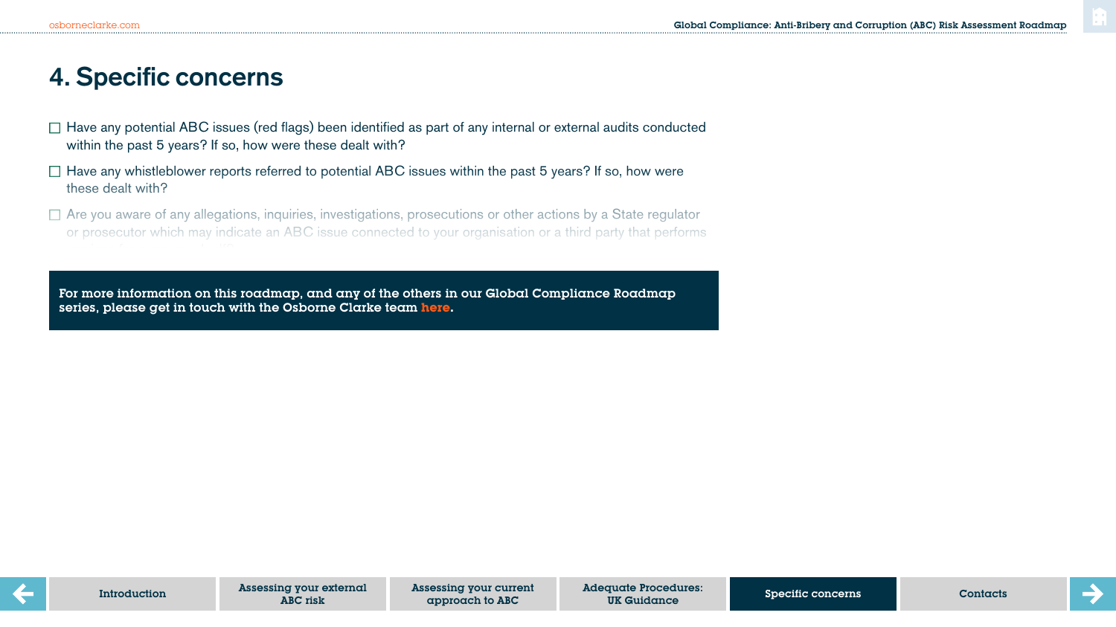# **4. Specific concerns**

- $\Box$  Have any potential ABC issues (red flags) been identified as part of any internal or external audits conducted within the past 5 years? If so, how were these dealt with?
- $\Box$  Have any whistleblower reports referred to potential ABC issues within the past 5 years? If so, how were these dealt with?
- $\Box$  Are you aware of any allegations, inquiries, investigations, prosecutions or other actions by a State regulator or prosecutor which may indicate an ABC issue connected to your organisation or a third party that performs

For more information on this roadmap, and any of the others in our Global Compliance Roadmap series, please get in touch with the Osborne Clarke team **[here.](https://sites-osborneclarke.vuturevx.com/82/6426/pages/global-compliance-roadmaps.asp)**

 $D$  you have any other concerns or awareness or awareness or  $\alpha$  and  $\alpha$  indicate any indicate any indicate any indicate any indicate any indicate any indicate any indicate any indicate any indicate any indicate any ind